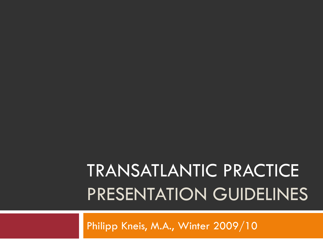# TRANSATLANTIC PRACTICE PRESENTATION GUIDELINES

Philipp Kneis, M.A., Winter 2009/10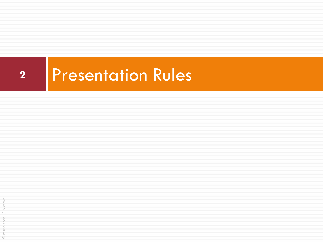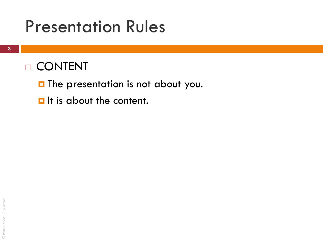#### D CONTENT

**The presentation is not about you.** 

 $\blacksquare$  It is about the content.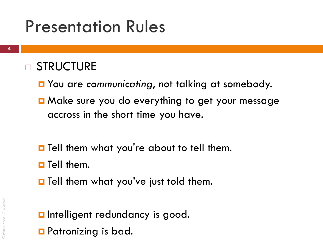#### □ STRUCTURE

- **n** You are communicating, not talking at somebody.
- **D** Make sure you do everything to get your message accross in the short time you have.
- **T** Tell them what you're about to tell them.
- $\blacksquare$  Tell them.
- **O** Tell them what you've just told them.
- **<u>n</u>** Intelligent redundancy is good. **<u>E</u>** Patronizing is bad.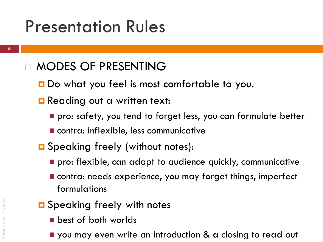#### MODES OF PRESENTING

- **D** Do what you feel is most comfortable to you.
- **Reading out a written text:** 
	- **P** pro: safety, you tend to forget less, you can formulate better
	- **E** contra: inflexible, less communicative
- **O** Speaking freely (without notes):
	- **P** pro: flexible, can adapt to audience quickly, communicative
	- contra: needs experience, you may forget things, imperfect formulations
- **O** Speaking freely with notes
	- **best of both worlds**
	- **P** you may even write an introduction & a closing to read out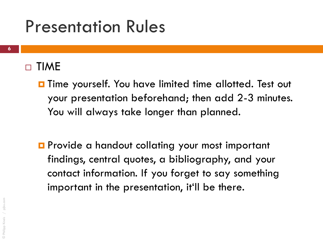#### $\Box$  TIME

- **O** Time yourself. You have limited time allotted. Test out your presentation beforehand; then add 2-3 minutes. You will always take longer than planned.
- **P** Provide a handout collating your most important findings, central quotes, a bibliography, and your contact information. If you forget to say something important in the presentation, it'll be there.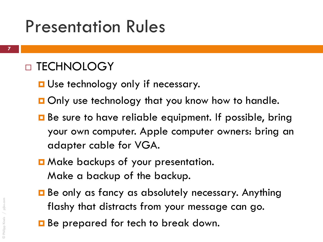#### □ TECHNOLOGY

- **<u>E</u>** Use technology only if necessary.
- **Only use technology that you know how to handle.**
- Be sure to have reliable equipment. If possible, bring your own computer. Apple computer owners: bring an adapter cable for VGA.
- **D** Make backups of your presentation. Make a backup of the backup.
- **Be only as fancy as absolutely necessary. Anything** flashy that distracts from your message can go.
- **B** Be prepared for tech to break down.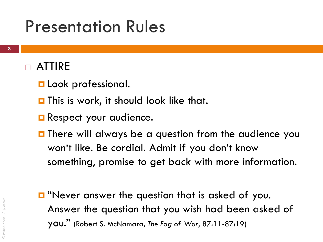#### ATTIRE

- **Look professional.**
- **This is work, it should look like that.**
- **Respect your audience.**
- **O** There will always be a question from the audience you won't like. Be cordial. Admit if you don't know something, promise to get back with more information.
- **D** "Never answer the question that is asked of you. Answer the question that you wish had been asked of you." (Robert S. McNamara, *The Fog of War*, 87:11-87:19)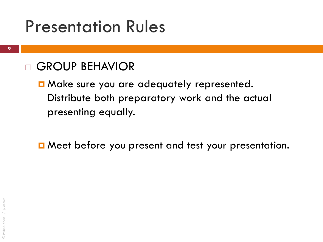#### GROUP BEHAVIOR

**D** Make sure you are adequately represented. Distribute both preparatory work and the actual presenting equally.

**D** Meet before you present and test your presentation.